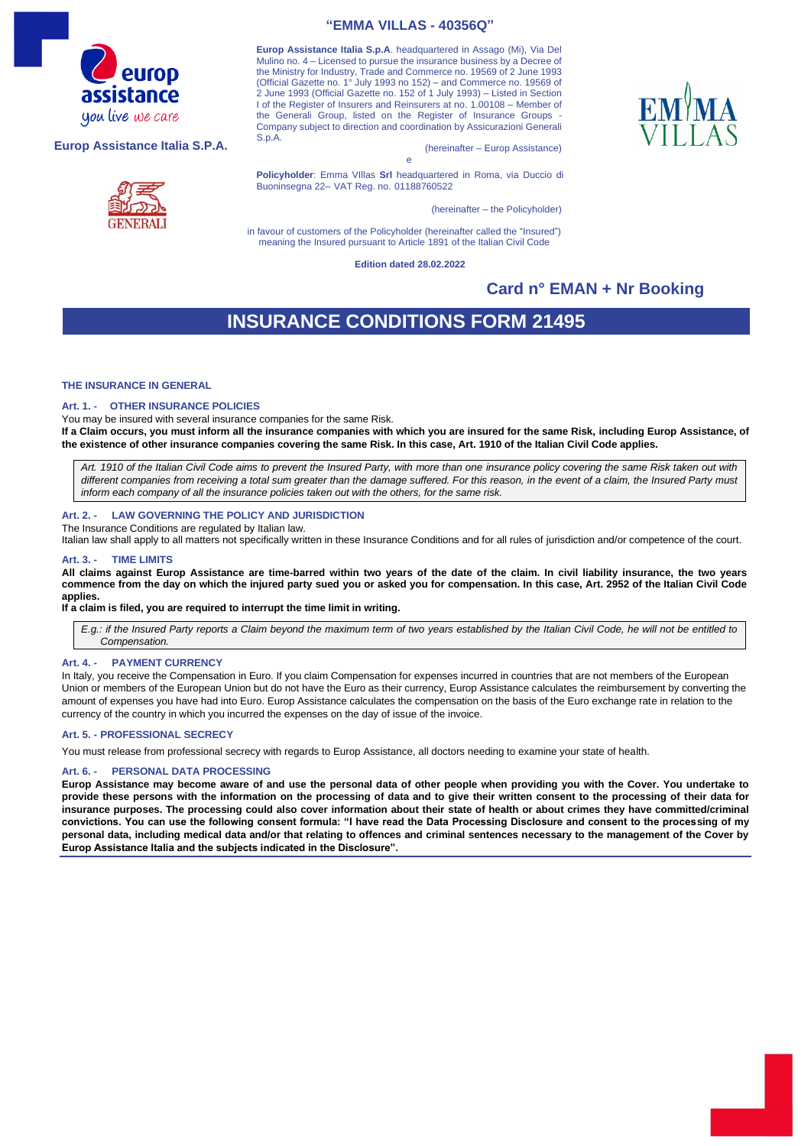

#### **Europ Assistance Italia S.P.A.**



### **"EMMA VILLAS - 40356Q"**

**Europ Assistance Italia S.p.A**. headquartered in Assago (Mi), Via Del Mulino no. 4 – Licensed to pursue the insurance business by a Decree of the Ministry for Industry, Trade and Commerce no. 19569 of 2 June 1993 (Official Gazette no. 1° July 1993 no 152) – and Commerce no. 19569 of 2 June 1993 (Official Gazette no. 152 of 1 July 1993) – Listed in Section I of the Register of Insurers and Reinsurers at no. 1.00108 – Member of the Generali Group, listed on the Register of Insurance Groups Company subject to direction and coordination by Assicurazioni Generali S.p.A.

(hereinafter – Europ Assistance)

e **Policyholder**: Emma VIllas **Srl** headquartered in Roma, via Duccio di Buoninsegna 22– VAT Reg. no. 01188760522

(hereinafter – the Policyholder)

in favour of customers of the Policyholder (hereinafter called the "Insured") meaning the Insured pursuant to Article 1891 of the Italian Civil Code

**Edition dated 28.02.2022**

### **Card n° EMAN + Nr Booking**

## **INSURANCE CONDITIONS FORM 21495**

#### **THE INSURANCE IN GENERAL**

#### **Art. 1. - OTHER INSURANCE POLICIES**

You may be insured with several insurance companies for the same Risk.

**If a Claim occurs, you must inform all the insurance companies with which you are insured for the same Risk, including Europ Assistance, of the existence of other insurance companies covering the same Risk. In this case, Art. 1910 of the Italian Civil Code applies.**

*Art. 1910 of the Italian Civil Code aims to prevent the Insured Party, with more than one insurance policy covering the same Risk taken out with different companies from receiving a total sum greater than the damage suffered. For this reason, in the event of a claim, the Insured Party must inform each company of all the insurance policies taken out with the others, for the same risk.* 

#### **Art. 2. - LAW GOVERNING THE POLICY AND JURISDICTION**

The Insurance Conditions are regulated by Italian law.

Italian law shall apply to all matters not specifically written in these Insurance Conditions and for all rules of jurisdiction and/or competence of the court.

#### **Art. 3. - TIME LIMITS**

**All claims against Europ Assistance are time-barred within two years of the date of the claim. In civil liability insurance, the two years commence from the day on which the injured party sued you or asked you for compensation. In this case, Art. 2952 of the Italian Civil Code applies.**

#### **If a claim is filed, you are required to interrupt the time limit in writing.**

*E.g.: if the Insured Party reports a Claim beyond the maximum term of two years established by the Italian Civil Code, he will not be entitled to Compensation.*

#### **Art. 4. - PAYMENT CURRENCY**

In Italy, you receive the Compensation in Euro. If you claim Compensation for expenses incurred in countries that are not members of the European Union or members of the European Union but do not have the Euro as their currency, Europ Assistance calculates the reimbursement by converting the amount of expenses you have had into Euro. Europ Assistance calculates the compensation on the basis of the Euro exchange rate in relation to the currency of the country in which you incurred the expenses on the day of issue of the invoice.

#### **Art. 5. - PROFESSIONAL SECRECY**

You must release from professional secrecy with regards to Europ Assistance, all doctors needing to examine your state of health.

#### **PERSONAL DATA PROCESSING**

**Europ Assistance may become aware of and use the personal data of other people when providing you with the Cover. You undertake to provide these persons with the information on the processing of data and to give their written consent to the processing of their data for insurance purposes. The processing could also cover information about their state of health or about crimes they have committed/criminal convictions. You can use the following consent formula: "I have read the Data Processing Disclosure and consent to the processing of my personal data, including medical data and/or that relating to offences and criminal sentences necessary to the management of the Cover by Europ Assistance Italia and the subjects indicated in the Disclosure".**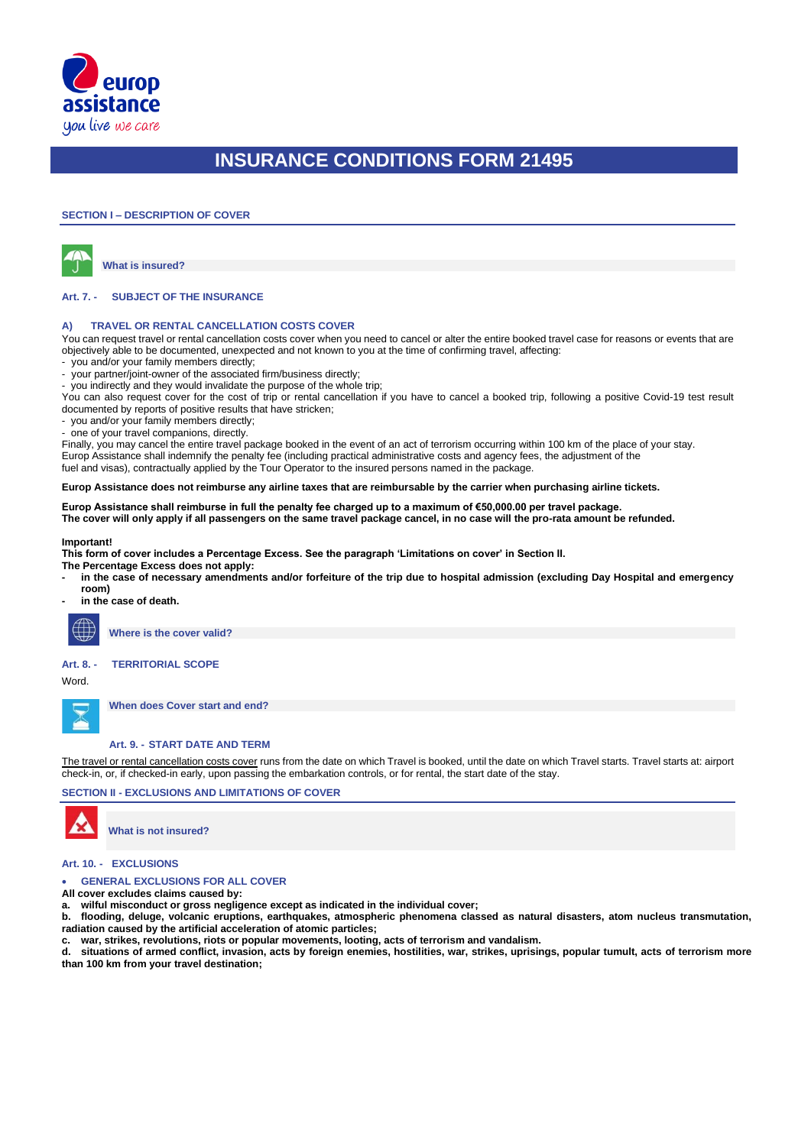

#### **SECTION I – DESCRIPTION OF COVER**



**What is insured?**

#### **Art. 7. - SUBJECT OF THE INSURANCE**

#### **A) TRAVEL OR RENTAL CANCELLATION COSTS COVER**

You can request travel or rental cancellation costs cover when you need to cancel or alter the entire booked travel case for reasons or events that are objectively able to be documented, unexpected and not known to you at the time of confirming travel, affecting:

- you and/or your family members directly;
- your partner/joint-owner of the associated firm/business directly;
- you indirectly and they would invalidate the purpose of the whole trip;

You can also request cover for the cost of trip or rental cancellation if you have to cancel a booked trip, following a positive Covid-19 test result documented by reports of positive results that have stricken;

you and/or your family members directly;

- one of your travel companions, directly.

Finally, you may cancel the entire travel package booked in the event of an act of terrorism occurring within 100 km of the place of your stay. Europ Assistance shall indemnify the penalty fee (including practical administrative costs and agency fees, the adjustment of the

fuel and visas), contractually applied by the Tour Operator to the insured persons named in the package.

**Europ Assistance does not reimburse any airline taxes that are reimbursable by the carrier when purchasing airline tickets.**

#### **Europ Assistance shall reimburse in full the penalty fee charged up to a maximum of €50,000.00 per travel package.**

**The cover will only apply if all passengers on the same travel package cancel, in no case will the pro-rata amount be refunded.**

#### **Important!**

**This form of cover includes a Percentage Excess. See the paragraph 'Limitations on cover' in Section II.**

**The Percentage Excess does not apply:**

- **- in the case of necessary amendments and/or forfeiture of the trip due to hospital admission (excluding Day Hospital and emergency room)**
- **- in the case of death.**



**Where is the cover valid?**

### **Art. 8. - TERRITORIAL SCOPE**

Word.

**When does Cover start and end?**

### **Art. 9. - START DATE AND TERM**

The travel or rental cancellation costs cover runs from the date on which Travel is booked, until the date on which Travel starts. Travel starts at: airport check-in, or, if checked-in early, upon passing the embarkation controls, or for rental, the start date of the stay.

#### **SECTION II - EXCLUSIONS AND LIMITATIONS OF COVER**



**What is not insured?**

#### **Art. 10. - EXCLUSIONS**

**GENERAL EXCLUSIONS FOR ALL COVER** 

**All cover excludes claims caused by:**

**a. wilful misconduct or gross negligence except as indicated in the individual cover;**

**b. flooding, deluge, volcanic eruptions, earthquakes, atmospheric phenomena classed as natural disasters, atom nucleus transmutation, radiation caused by the artificial acceleration of atomic particles;**

**c. war, strikes, revolutions, riots or popular movements, looting, acts of terrorism and vandalism.**

**d. situations of armed conflict, invasion, acts by foreign enemies, hostilities, war, strikes, uprisings, popular tumult, acts of terrorism more than 100 km from your travel destination;**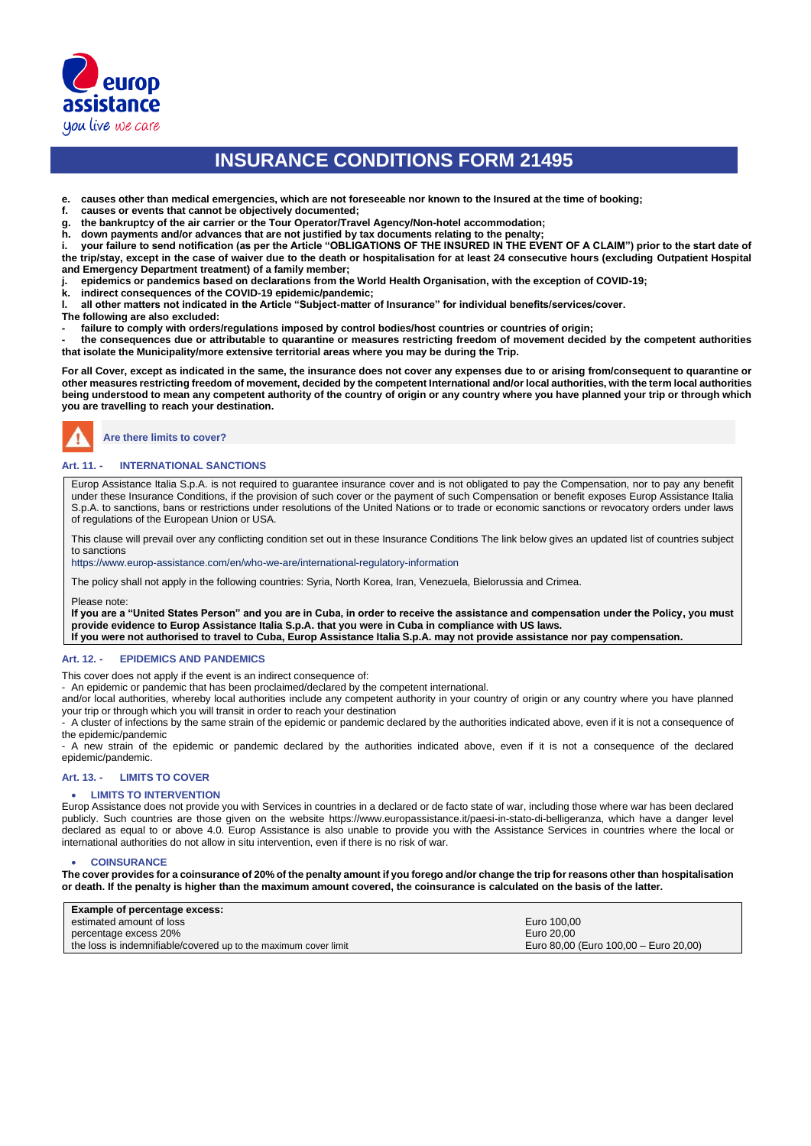

**e. causes other than medical emergencies, which are not foreseeable nor known to the Insured at the time of booking;**

- **f. causes or events that cannot be objectively documented;**
- **g. the bankruptcy of the air carrier or the Tour Operator/Travel Agency/Non-hotel accommodation;**
- **h. down payments and/or advances that are not justified by tax documents relating to the penalty;**

**i. your failure to send notification (as per the Article "OBLIGATIONS OF THE INSURED IN THE EVENT OF A CLAIM") prior to the start date of the trip/stay, except in the case of waiver due to the death or hospitalisation for at least 24 consecutive hours (excluding Outpatient Hospital and Emergency Department treatment) of a family member;**

- **j. epidemics or pandemics based on declarations from the World Health Organisation, with the exception of COVID-19;**
- **k. indirect consequences of the COVID-19 epidemic/pandemic;**
- **l. all other matters not indicated in the Article "Subject-matter of Insurance" for individual benefits/services/cover.**
- **The following are also excluded:**
- **- failure to comply with orders/regulations imposed by control bodies/host countries or countries of origin;**

**- the consequences due or attributable to quarantine or measures restricting freedom of movement decided by the competent authorities that isolate the Municipality/more extensive territorial areas where you may be during the Trip.**

**For all Cover, except as indicated in the same, the insurance does not cover any expenses due to or arising from/consequent to quarantine or other measures restricting freedom of movement, decided by the competent International and/or local authorities, with the term local authorities being understood to mean any competent authority of the country of origin or any country where you have planned your trip or through which you are travelling to reach your destination.**

**Are there limits to cover?**

#### **Art. 11. - INTERNATIONAL SANCTIONS**

Europ Assistance Italia S.p.A. is not required to guarantee insurance cover and is not obligated to pay the Compensation, nor to pay any benefit under these Insurance Conditions, if the provision of such cover or the payment of such Compensation or benefit exposes Europ Assistance Italia S.p.A. to sanctions, bans or restrictions under resolutions of the United Nations or to trade or economic sanctions or revocatory orders under laws of regulations of the European Union or USA.

This clause will prevail over any conflicting condition set out in these Insurance Conditions The link below gives an updated list of countries subject to sanctions

https://www.europ-assistance.com/en/who-we-are/international-regulatory-information

The policy shall not apply in the following countries: Syria, North Korea, Iran, Venezuela, Bielorussia and Crimea.

Please note:

**If you are a "United States Person" and you are in Cuba, in order to receive the assistance and compensation under the Policy, you must provide evidence to Europ Assistance Italia S.p.A. that you were in Cuba in compliance with US laws.**

**If you were not authorised to travel to Cuba, Europ Assistance Italia S.p.A. may not provide assistance nor pay compensation.**

#### **Art. 12. - EPIDEMICS AND PANDEMICS**

This cover does not apply if the event is an indirect consequence of:

- An epidemic or pandemic that has been proclaimed/declared by the competent international.

and/or local authorities, whereby local authorities include any competent authority in your country of origin or any country where you have planned your trip or through which you will transit in order to reach your destination

- A cluster of infections by the same strain of the epidemic or pandemic declared by the authorities indicated above, even if it is not a consequence of the epidemic/pandemic

- A new strain of the epidemic or pandemic declared by the authorities indicated above, even if it is not a consequence of the declared epidemic/pandemic.

#### **Art. 13. - LIMITS TO COVER**

#### • **LIMITS TO INTERVENTION**

Europ Assistance does not provide you with Services in countries in a declared or de facto state of war, including those where war has been declared publicly. Such countries are those given on the website https://www.europassistance.it/paesi-in-stato-di-belligeranza, which have a danger level declared as equal to or above 4.0. Europ Assistance is also unable to provide you with the Assistance Services in countries where the local or international authorities do not allow in situ intervention, even if there is no risk of war.

#### • **COINSURANCE**

**The cover provides for a coinsurance of 20% of the penalty amount if you forego and/or change the trip for reasons other than hospitalisation or death. If the penalty is higher than the maximum amount covered, the coinsurance is calculated on the basis of the latter.**

| Example of percentage excess:                                   |                                       |
|-----------------------------------------------------------------|---------------------------------------|
| estimated amount of loss                                        | Euro 100.00                           |
| percentage excess 20%                                           | Euro 20.00                            |
| the loss is indemnifiable/covered up to the maximum cover limit | Euro 80,00 (Euro 100,00 - Euro 20,00) |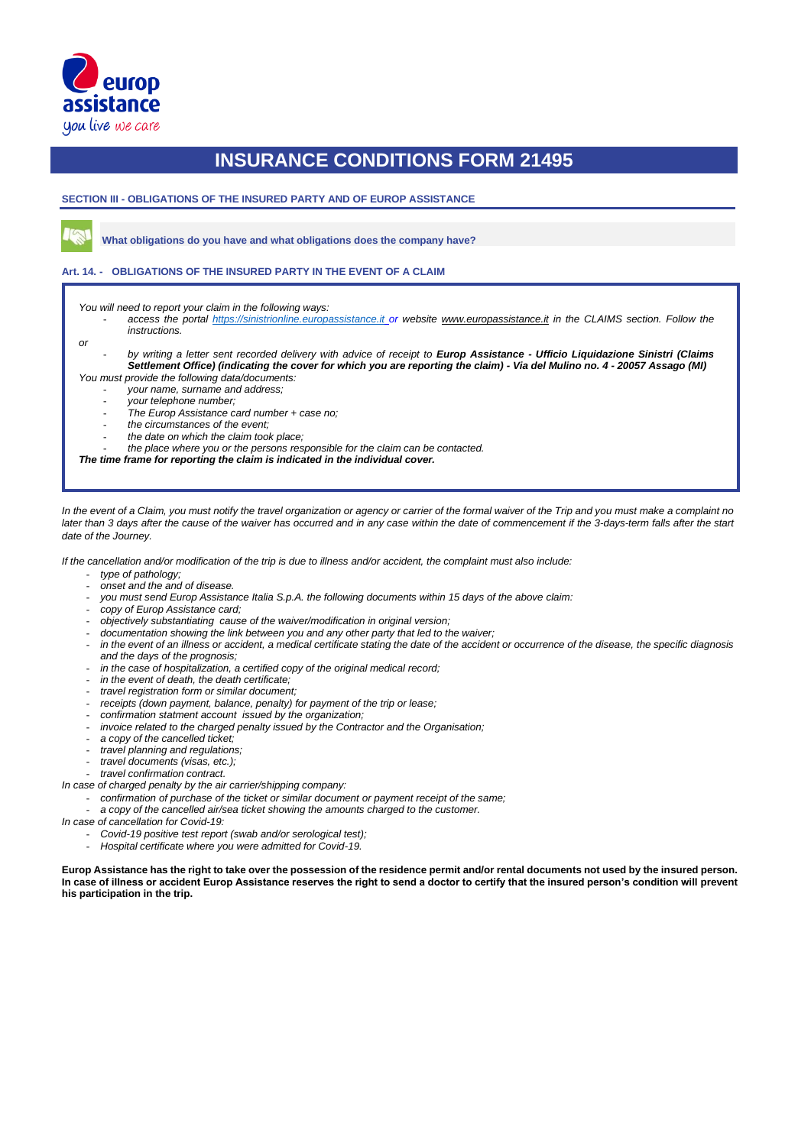

**SECTION III - OBLIGATIONS OF THE INSURED PARTY AND OF EUROP ASSISTANCE**

**What obligations do you have and what obligations does the company have?**

#### **Art. 14. - OBLIGATIONS OF THE INSURED PARTY IN THE EVENT OF A CLAIM**

*You will need to report your claim in the following ways:*

- *access the portal [https://sinistrionline.europassistance.it](https://sinistrionline.europassistance.it/) or website [www.europassistance.it](http://www.europassistance.it/) in the CLAIMS section. Follow the instructions.*

*or* 

- *by writing a letter sent recorded delivery with advice of receipt to Europ Assistance - Ufficio Liquidazione Sinistri (Claims Settlement Office) (indicating the cover for which you are reporting the claim) - Via del Mulino no. 4 - 20057 Assago (MI) You must provide the following data/documents:*

- *your name, surname and address;*
- *your telephone number;*
- *The Europ Assistance card number + case no;*
- *the circumstances of the event;*
- *the date on which the claim took place;*
- *the place where you or the persons responsible for the claim can be contacted.*

*The time frame for reporting the claim is indicated in the individual cover.*

*In the event of a Claim, you must notify the travel organization or agency or carrier of the formal waiver of the Trip and you must make a complaint no*  later than 3 days after the cause of the waiver has occurred and in any case within the date of commencement if the 3-days-term falls after the start *date of the Journey.*

*If the cancellation and/or modification of the trip is due to illness and/or accident, the complaint must also include:*

- *type of pathology;*
- *onset and the and of disease.*
- *you must send Europ Assistance Italia S.p.A. the following documents within 15 days of the above claim:*
- *copy of Europ Assistance card;*
- *objectively substantiating cause of the waiver/modification in original version;*
- *documentation showing the link between you and any other party that led to the waiver;*
- in the event of an illness or accident, a medical certificate stating the date of the accident or occurrence of the disease, the specific diagnosis *and the days of the prognosis;*
- in the case of hospitalization, a certified copy of the original medical record;
- *in the event of death, the death certificate;*
- *travel registration form or similar document;*
- *receipts (down payment, balance, penalty) for payment of the trip or lease;*
- *confirmation statment account issued by the organization;*
- *invoice related to the charged penalty issued by the Contractor and the Organisation;*
- *a copy of the cancelled ticket;*
- *travel planning and regulations;*
- *travel documents (visas, etc.);*
- *travel confirmation contract.*
- *In case of charged penalty by the air carrier/shipping company:*
	- *confirmation of purchase of the ticket or similar document or payment receipt of the same;*
	- a copy of the cancelled air/sea ticket showing the amounts charged to the customer.
- *In case of cancellation for Covid-19:*
	- *Covid-19 positive test report (swab and/or serological test);*
	- *Hospital certificate where you were admitted for Covid-19.*

**Europ Assistance has the right to take over the possession of the residence permit and/or rental documents not used by the insured person. In case of illness or accident Europ Assistance reserves the right to send a doctor to certify that the insured person's condition will prevent his participation in the trip.**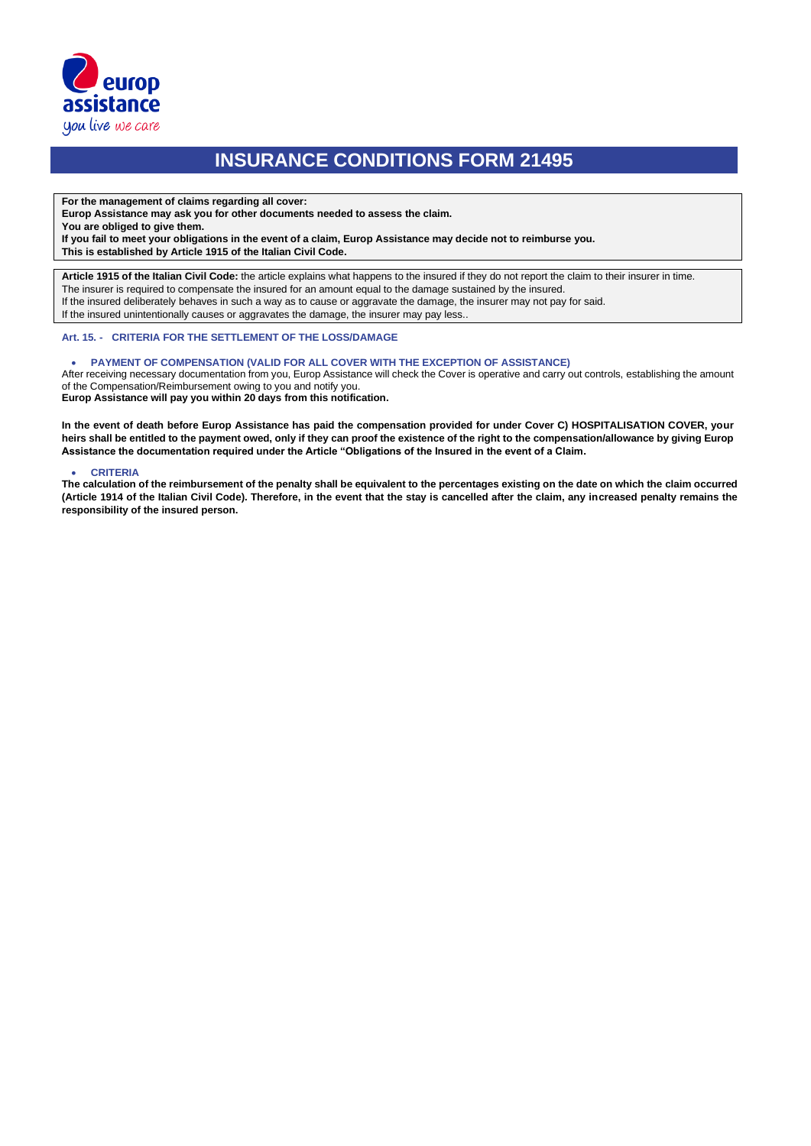

**For the management of claims regarding all cover:**

**Europ Assistance may ask you for other documents needed to assess the claim.** 

**You are obliged to give them.** 

**If you fail to meet your obligations in the event of a claim, Europ Assistance may decide not to reimburse you.** 

**This is established by Article 1915 of the Italian Civil Code.**

**Article 1915 of the Italian Civil Code:** the article explains what happens to the insured if they do not report the claim to their insurer in time. The insurer is required to compensate the insured for an amount equal to the damage sustained by the insured. If the insured deliberately behaves in such a way as to cause or aggravate the damage, the insurer may not pay for said. If the insured unintentionally causes or aggravates the damage, the insurer may pay less..

#### **Art. 15. - CRITERIA FOR THE SETTLEMENT OF THE LOSS/DAMAGE**

#### • **PAYMENT OF COMPENSATION (VALID FOR ALL COVER WITH THE EXCEPTION OF ASSISTANCE)**

After receiving necessary documentation from you, Europ Assistance will check the Cover is operative and carry out controls, establishing the amount of the Compensation/Reimbursement owing to you and notify you.

**Europ Assistance will pay you within 20 days from this notification.**

**In the event of death before Europ Assistance has paid the compensation provided for under Cover C) HOSPITALISATION COVER, your heirs shall be entitled to the payment owed, only if they can proof the existence of the right to the compensation/allowance by giving Europ Assistance the documentation required under the Article "Obligations of the Insured in the event of a Claim.**

#### • **CRITERIA**

**The calculation of the reimbursement of the penalty shall be equivalent to the percentages existing on the date on which the claim occurred (Article 1914 of the Italian Civil Code). Therefore, in the event that the stay is cancelled after the claim, any increased penalty remains the responsibility of the insured person.**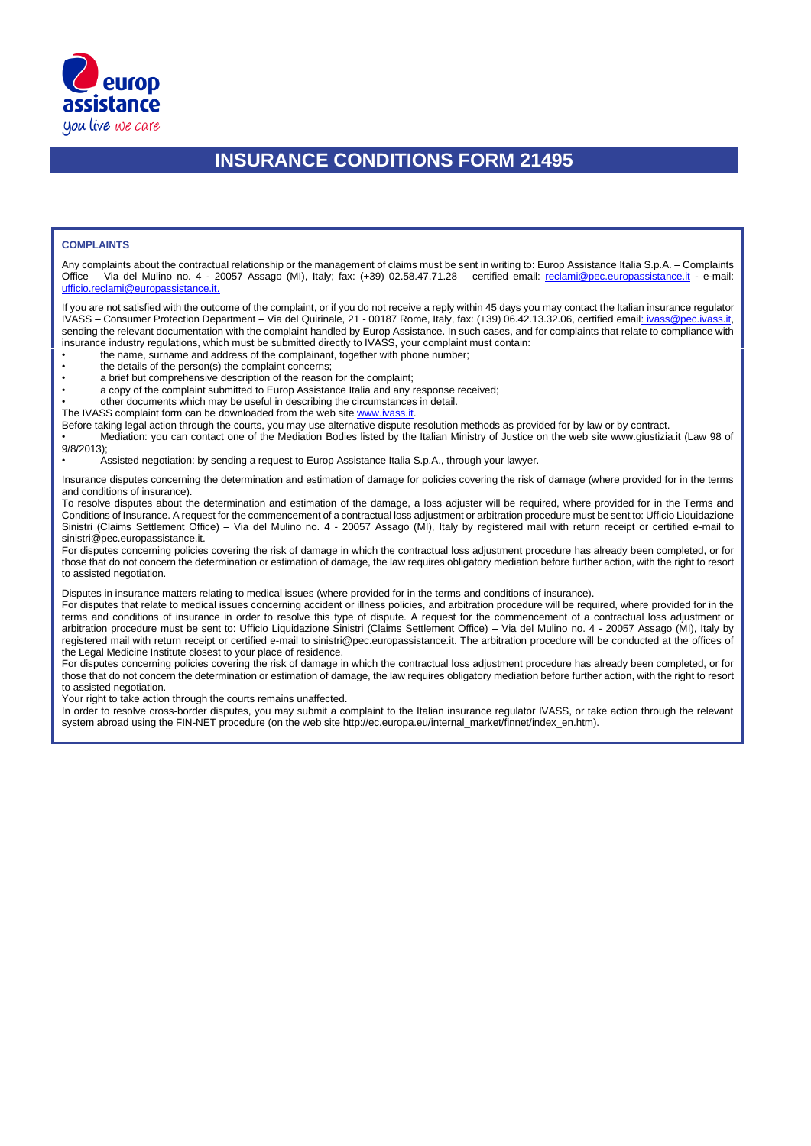

#### **COMPLAINTS**

Any complaints about the contractual relationship or the management of claims must be sent in writing to: Europ Assistance Italia S.p.A. – Complaints Office - Via del Mulino no. 4 - 20057 Assago (MI), Italy; fax: (+39) 02.58.47.71.28 - certified email: reclami@pec.europassistance.it - e-mail: ufficio.reclami@europassistance.it.

If you are not satisfied with the outcome of the complaint, or if you do not receive a reply within 45 days you may contact the Italian insurance regulator IVASS – Consumer Protection Department – Via del Quirinale, 21 - 00187 Rome, Italy, fax: (+39) 06.42.13.32.06, certified email: *ivass@pec.ivass* sending the relevant documentation with the complaint handled by Europ Assistance. In such cases, and for complaints that relate to compliance with insurance industry regulations, which must be submitted directly to IVASS, your complaint must contain:

- the name, surname and address of the complainant, together with phone number;
- the details of the person(s) the complaint concerns;
- a brief but comprehensive description of the reason for the complaint;
- a copy of the complaint submitted to Europ Assistance Italia and any response received;
- other documents which may be useful in describing the circumstances in detail.

The IVASS complaint form can be downloaded from the web site www.ivass.it.

Before taking legal action through the courts, you may use alternative dispute resolution methods as provided for by law or by contract.

• Mediation: you can contact one of the Mediation Bodies listed by the Italian Ministry of Justice on the web site www.giustizia.it (Law 98 of 9/8/2013);

• Assisted negotiation: by sending a request to Europ Assistance Italia S.p.A., through your lawyer.

Insurance disputes concerning the determination and estimation of damage for policies covering the risk of damage (where provided for in the terms and conditions of insurance).

To resolve disputes about the determination and estimation of the damage, a loss adjuster will be required, where provided for in the Terms and Conditions of Insurance. A request for the commencement of a contractual loss adjustment or arbitration procedure must be sent to: Ufficio Liquidazione Sinistri (Claims Settlement Office) – Via del Mulino no. 4 - 20057 Assago (MI), Italy by registered mail with return receipt or certified e-mail to sinistri@pec.europassistance.it.

For disputes concerning policies covering the risk of damage in which the contractual loss adjustment procedure has already been completed, or for those that do not concern the determination or estimation of damage, the law requires obligatory mediation before further action, with the right to resort to assisted negotiation.

Disputes in insurance matters relating to medical issues (where provided for in the terms and conditions of insurance).

For disputes that relate to medical issues concerning accident or illness policies, and arbitration procedure will be required, where provided for in the terms and conditions of insurance in order to resolve this type of dispute. A request for the commencement of a contractual loss adjustment or arbitration procedure must be sent to: Ufficio Liquidazione Sinistri (Claims Settlement Office) – Via del Mulino no. 4 - 20057 Assago (MI), Italy by registered mail with return receipt or certified e-mail to sinistri@pec.europassistance.it. The arbitration procedure will be conducted at the offices of the Legal Medicine Institute closest to your place of residence.

For disputes concerning policies covering the risk of damage in which the contractual loss adjustment procedure has already been completed, or for those that do not concern the determination or estimation of damage, the law requires obligatory mediation before further action, with the right to resort to assisted negotiation.

Your right to take action through the courts remains unaffected.

In order to resolve cross-border disputes, you may submit a complaint to the Italian insurance regulator IVASS, or take action through the relevant system abroad using the FIN-NET procedure (on the web site http://ec.europa.eu/internal\_market/finnet/index\_en.htm).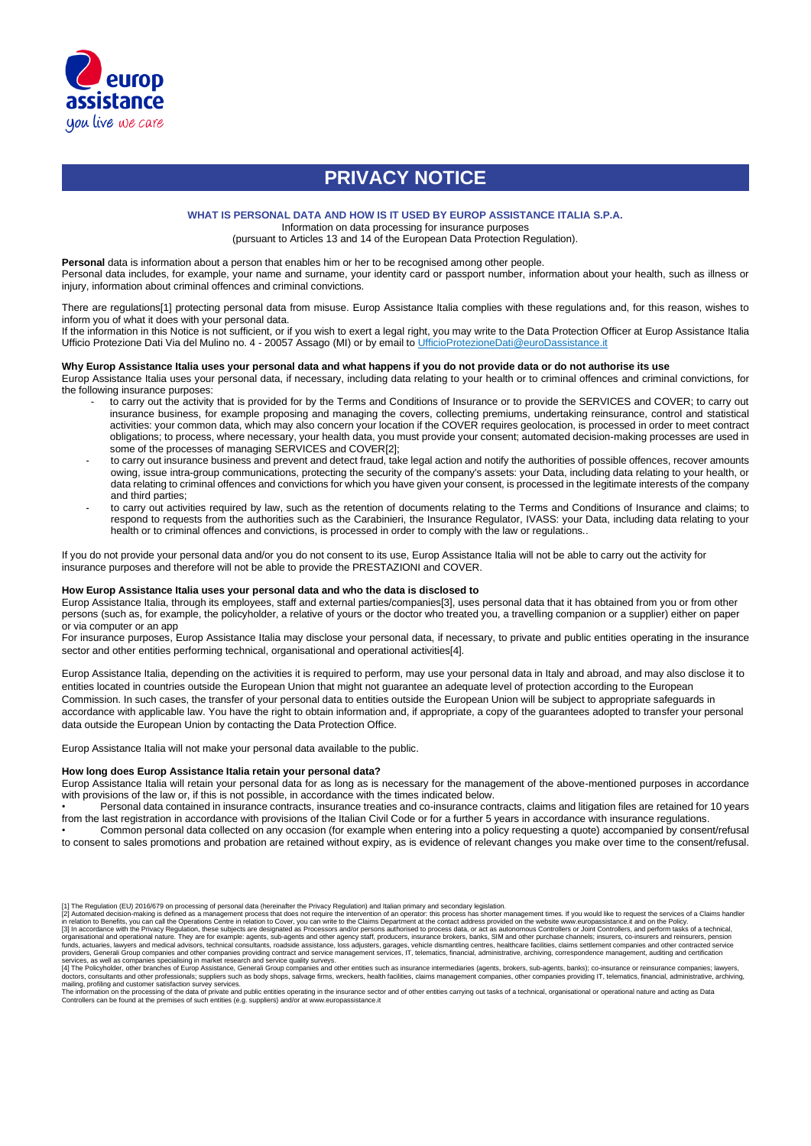

## **PRIVACY NOTICE**

#### **WHAT IS PERSONAL DATA AND HOW IS IT USED BY EUROP ASSISTANCE ITALIA S.P.A.**

Information on data processing for insurance purposes

(pursuant to Articles 13 and 14 of the European Data Protection Regulation).

Personal data is information about a person that enables him or her to be recognised among other people.

Personal data includes, for example, your name and surname, your identity card or passport number, information about your health, such as illness or injury, information about criminal offences and criminal convictions.

There are regulations[1] protecting personal data from misuse. Europ Assistance Italia complies with these regulations and, for this reason, wishes to inform you of what it does with your personal data.

If the information in this Notice is not sufficient, or if you wish to exert a legal right, you may write to the Data Protection Officer at Europ Assistance Italia Ufficio Protezione Dati Via del Mulino no. 4 - 20057 Assago (MI) or by email to UfficioProtezioneDati@euroDassistance.it

#### **Why Europ Assistance Italia uses your personal data and what happens if you do not provide data or do not authorise its use**

Europ Assistance Italia uses your personal data, if necessary, including data relating to your health or to criminal offences and criminal convictions, for the following insurance purposes:

- to carry out the activity that is provided for by the Terms and Conditions of Insurance or to provide the SERVICES and COVER; to carry out insurance business, for example proposing and managing the covers, collecting premiums, undertaking reinsurance, control and statistical activities: your common data, which may also concern your location if the COVER requires geolocation, is processed in order to meet contract obligations; to process, where necessary, your health data, you must provide your consent; automated decision-making processes are used in some of the processes of managing SERVICES and COVER[2];
- to carry out insurance business and prevent and detect fraud, take legal action and notify the authorities of possible offences, recover amounts owing, issue intra-group communications, protecting the security of the company's assets: your Data, including data relating to your health, or data relating to criminal offences and convictions for which you have given your consent, is processed in the legitimate interests of the company and third parties;
- to carry out activities required by law, such as the retention of documents relating to the Terms and Conditions of Insurance and claims; to respond to requests from the authorities such as the Carabinieri, the Insurance Regulator, IVASS: your Data, including data relating to your health or to criminal offences and convictions, is processed in order to comply with the law or regulations..

If you do not provide your personal data and/or you do not consent to its use, Europ Assistance Italia will not be able to carry out the activity for insurance purposes and therefore will not be able to provide the PRESTAZIONI and COVER.

#### **How Europ Assistance Italia uses your personal data and who the data is disclosed to**

Europ Assistance Italia, through its employees, staff and external parties/companies[3], uses personal data that it has obtained from you or from other persons (such as, for example, the policyholder, a relative of yours or the doctor who treated you, a travelling companion or a supplier) either on paper or via computer or an app

For insurance purposes, Europ Assistance Italia may disclose your personal data, if necessary, to private and public entities operating in the insurance sector and other entities performing technical, organisational and operational activities[4].

Europ Assistance Italia, depending on the activities it is required to perform, may use your personal data in Italy and abroad, and may also disclose it to entities located in countries outside the European Union that might not guarantee an adequate level of protection according to the European Commission. In such cases, the transfer of your personal data to entities outside the European Union will be subject to appropriate safeguards in accordance with applicable law. You have the right to obtain information and, if appropriate, a copy of the guarantees adopted to transfer your personal data outside the European Union by contacting the Data Protection Office.

Europ Assistance Italia will not make your personal data available to the public.

#### **How long does Europ Assistance Italia retain your personal data?**

Europ Assistance Italia will retain your personal data for as long as is necessary for the management of the above-mentioned purposes in accordance with provisions of the law or, if this is not possible, in accordance with the times indicated below.

• Personal data contained in insurance contracts, insurance treaties and co-insurance contracts, claims and litigation files are retained for 10 years from the last registration in accordance with provisions of the Italian Civil Code or for a further 5 years in accordance with insurance regulations.

• Common personal data collected on any occasion (for example when entering into a policy requesting a quote) accompanied by consent/refusal to consent to sales promotions and probation are retained without expiry, as is evidence of relevant changes you make over time to the consent/refusal.

<sup>[1]</sup> The Regulation (EU) 2016/679 on processing of personal data (hereinafter the Privacy Regulation) and Italian primary and secondary legislation

<sup>[2]</sup> Automated decision-making is defined as a management process that does not require the intervention of an operator: this process has shorter management times. If you would like to request the services of a Claims handl organisational and operational nature. They are for example: agents, sub-agents and other agency staff, producers, insurance brokers, banks, SIM and other purchase channels; insurers, co-insurers and reinsurers, pension<br>fu

providers, Generali Group companies and other companies providing contract and service quality surveys.<br>Services, as well as companies proparies and ther companies providing contract and service quality surveys.<br>[4] The Po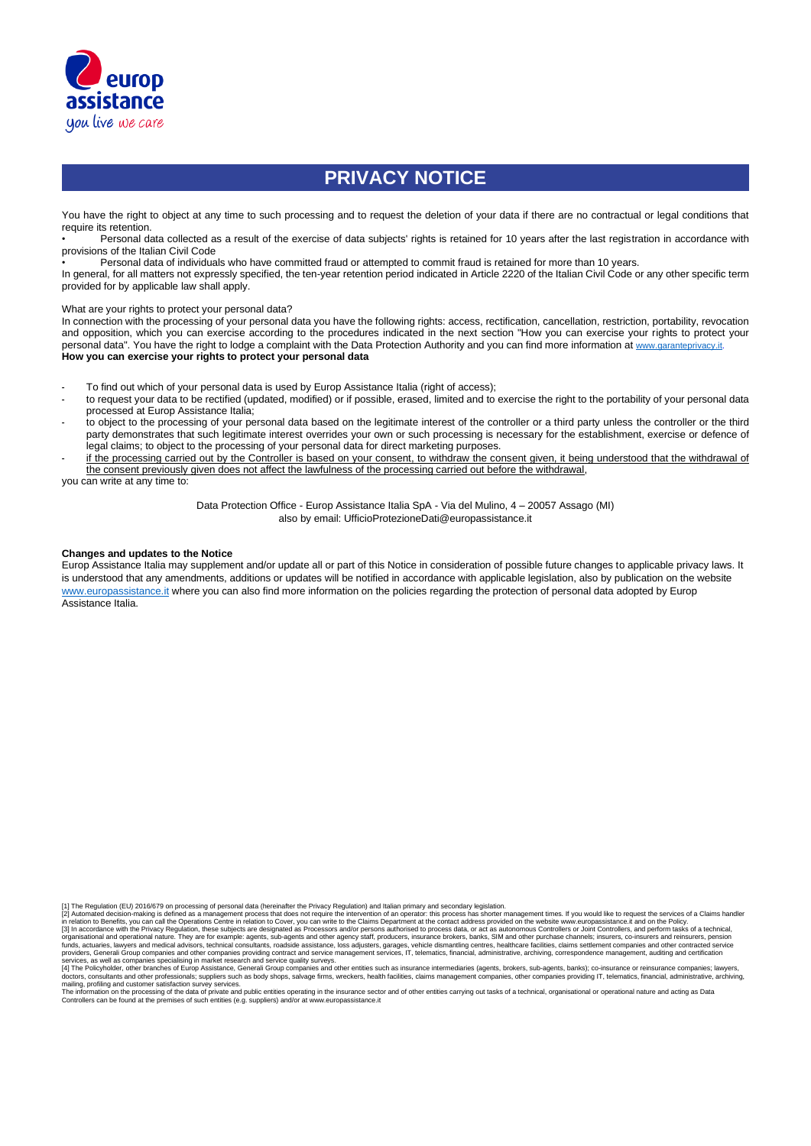

## **PRIVACY NOTICE**

You have the right to object at any time to such processing and to request the deletion of your data if there are no contractual or legal conditions that require its retention.

• Personal data collected as a result of the exercise of data subjects' rights is retained for 10 years after the last registration in accordance with provisions of the Italian Civil Code

• Personal data of individuals who have committed fraud or attempted to commit fraud is retained for more than 10 years.

In general, for all matters not expressly specified, the ten-year retention period indicated in Article 2220 of the Italian Civil Code or any other specific term provided for by applicable law shall apply.

What are your rights to protect your personal data?

In connection with the processing of your personal data you have the following rights: access, rectification, cancellation, restriction, portability, revocation and opposition, which you can exercise according to the procedures indicated in the next section "How you can exercise your rights to protect your personal data". You have the right to lodge a complaint with the Data Protection Authority and you can find more information at [www.garanteprivacy.it.](http://www.garanteprivacy.it/) **How you can exercise your rights to protect your personal data**

- To find out which of your personal data is used by Europ Assistance Italia (right of access);
- to request your data to be rectified (updated, modified) or if possible, erased, limited and to exercise the right to the portability of your personal data processed at Europ Assistance Italia;
- to object to the processing of your personal data based on the legitimate interest of the controller or a third party unless the controller or the third party demonstrates that such legitimate interest overrides your own or such processing is necessary for the establishment, exercise or defence of legal claims; to object to the processing of your personal data for direct marketing purposes.
- if the processing carried out by the Controller is based on your consent, to withdraw the consent given, it being understood that the withdrawal of the consent previously given does not affect the lawfulness of the processing carried out before the withdrawal,

you can write at any time to:

Data Protection Office - Europ Assistance Italia SpA - Via del Mulino, 4 – 20057 Assago (MI) also by email: UfficioProtezioneDati@europassistance.it

#### **Changes and updates to the Notice**

Europ Assistance Italia may supplement and/or update all or part of this Notice in consideration of possible future changes to applicable privacy laws. It is understood that any amendments, additions or updates will be notified in accordance with applicable legislation, also by publication on the website www.europassistance.it where you can also find more information on the policies regarding the protection of personal data adopted by Europ Assistance Italia.

[1] The Regulation (EU) 2016/679 on processing of personal data (hereinafter the Privacy Regulation) and Italian primary and secondary legislation.<br>[2] Automated decision-making is defined as a management process that does organisational and operational nature. They are for example: agents, sub-agents and other agency staff, producers, insurance brokers, banks, SIM and other purchase channels; insurers, co-insurers and reinsurers, pension<br>fu

providers, Generali Group companies and other companies providing contract and service quality surveys.<br>Services, as well as companies proparies and ther companies providing contract and service quality surveys.<br>[4] The Po